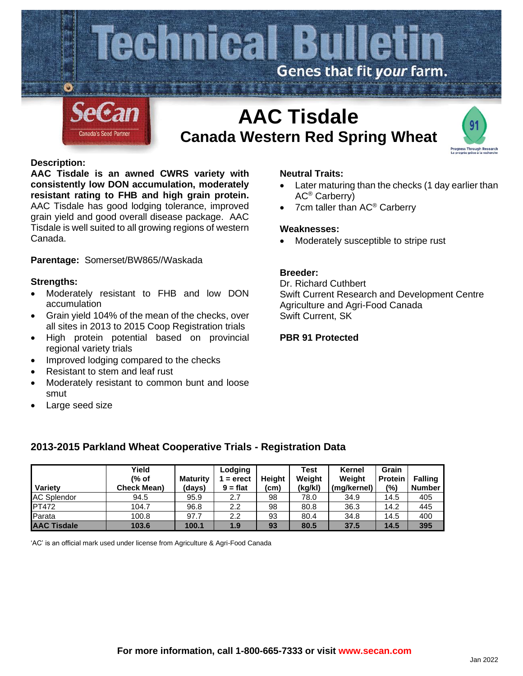

# **Canada Western Red Spring Wheat**

#### **Description:**

**AAC Tisdale is an awned CWRS variety with consistently low DON accumulation, moderately resistant rating to FHB and high grain protein.** AAC Tisdale has good lodging tolerance, improved grain yield and good overall disease package. AAC Tisdale is well suited to all growing regions of western Canada.

**Parentage:** Somerset/BW865//Waskada

#### **Strengths:**

- Moderately resistant to FHB and low DON accumulation
- Grain yield 104% of the mean of the checks, over all sites in 2013 to 2015 Coop Registration trials
- High protein potential based on provincial regional variety trials
- Improved lodging compared to the checks
- Resistant to stem and leaf rust
- Moderately resistant to common bunt and loose smut
- Large seed size

### **Neutral Traits:**

- Later maturing than the checks (1 day earlier than AC® Carberry)
- 7cm taller than AC<sup>®</sup> Carberry

#### **Weaknesses:**

• Moderately susceptible to stripe rust

### **Breeder:**

Dr. Richard Cuthbert Swift Current Research and Development Centre Agriculture and Agri-Food Canada Swift Current, SK

## **PBR 91 Protected**

| Variety            | Yield<br>(% of<br><b>Check Mean)</b> | <b>Maturity</b><br>(davs) | Lodging<br>$=$ erect<br>$9 = flat$ | Heiaht<br>(cm) | Test<br>Weight<br>(kg/kl) | Kernel<br>Weight<br>(mg/kernel) | Grain<br><b>Protein</b><br>(%) | <b>Falling</b><br><b>Number</b> |
|--------------------|--------------------------------------|---------------------------|------------------------------------|----------------|---------------------------|---------------------------------|--------------------------------|---------------------------------|
| <b>AC Splendor</b> | 94.5                                 | 95.9                      | 2.7                                | 98             | 78.0                      | 34.9                            | 14.5                           | 405                             |
| <b>PT472</b>       | 104.7                                | 96.8                      | $2.2\,$                            | 98             | 80.8                      | 36.3                            | 14.2                           | 445                             |
| Parata             | 100.8                                | 97.7                      | $2.2\,$                            | 93             | 80.4                      | 34.8                            | 14.5                           | 400                             |
| <b>AAC Tisdale</b> | 103.6                                | 100.1                     | 1.9                                | 93             | 80.5                      | 37.5                            | 14.5                           | 395                             |

## **2013-2015 Parkland Wheat Cooperative Trials - Registration Data**

'AC' is an official mark used under license from Agriculture & Agri-Food Canada